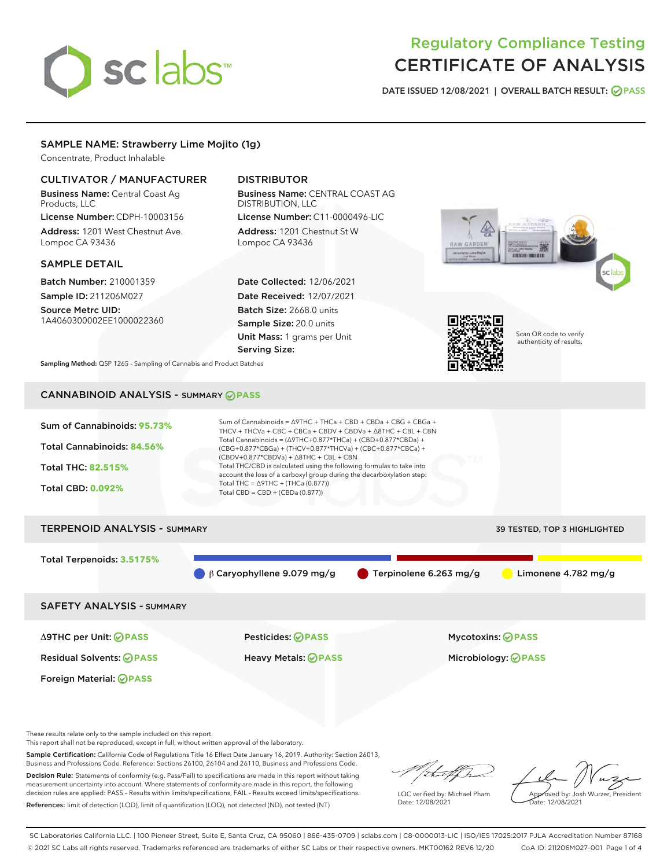# sclabs<sup>\*</sup>

# Regulatory Compliance Testing CERTIFICATE OF ANALYSIS

DATE ISSUED 12/08/2021 | OVERALL BATCH RESULT: @ PASS

# SAMPLE NAME: Strawberry Lime Mojito (1g)

Concentrate, Product Inhalable

# CULTIVATOR / MANUFACTURER

Business Name: Central Coast Ag Products, LLC License Number: CDPH-10003156

Address: 1201 West Chestnut Ave. Lompoc CA 93436

# SAMPLE DETAIL

Batch Number: 210001359 Sample ID: 211206M027

Source Metrc UID: 1A4060300002EE1000022360

# DISTRIBUTOR

Business Name: CENTRAL COAST AG DISTRIBUTION, LLC

License Number: C11-0000496-LIC Address: 1201 Chestnut St W Lompoc CA 93436

Date Collected: 12/06/2021 Date Received: 12/07/2021 Batch Size: 2668.0 units Sample Size: 20.0 units Unit Mass: 1 grams per Unit Serving Size:





Scan QR code to verify authenticity of results.

Sampling Method: QSP 1265 - Sampling of Cannabis and Product Batches

# CANNABINOID ANALYSIS - SUMMARY **PASS**



Total Terpenoids: **3.5175%**

β Caryophyllene 9.079 mg/g Terpinolene 6.263 mg/g Limonene 4.782 mg/g

SAFETY ANALYSIS - SUMMARY

Δ9THC per Unit: **PASS** Pesticides: **PASS** Mycotoxins: **PASS**

Foreign Material: **PASS**

Residual Solvents: **PASS** Heavy Metals: **PASS** Microbiology: **PASS**

These results relate only to the sample included on this report.

This report shall not be reproduced, except in full, without written approval of the laboratory.

Sample Certification: California Code of Regulations Title 16 Effect Date January 16, 2019. Authority: Section 26013, Business and Professions Code. Reference: Sections 26100, 26104 and 26110, Business and Professions Code.

Decision Rule: Statements of conformity (e.g. Pass/Fail) to specifications are made in this report without taking measurement uncertainty into account. Where statements of conformity are made in this report, the following decision rules are applied: PASS – Results within limits/specifications, FAIL – Results exceed limits/specifications. References: limit of detection (LOD), limit of quantification (LOQ), not detected (ND), not tested (NT)

that for

LQC verified by: Michael Pham Date: 12/08/2021

Approved by: Josh Wurzer, President ate: 12/08/2021

SC Laboratories California LLC. | 100 Pioneer Street, Suite E, Santa Cruz, CA 95060 | 866-435-0709 | sclabs.com | C8-0000013-LIC | ISO/IES 17025:2017 PJLA Accreditation Number 87168 © 2021 SC Labs all rights reserved. Trademarks referenced are trademarks of either SC Labs or their respective owners. MKT00162 REV6 12/20 CoA ID: 211206M027-001 Page 1 of 4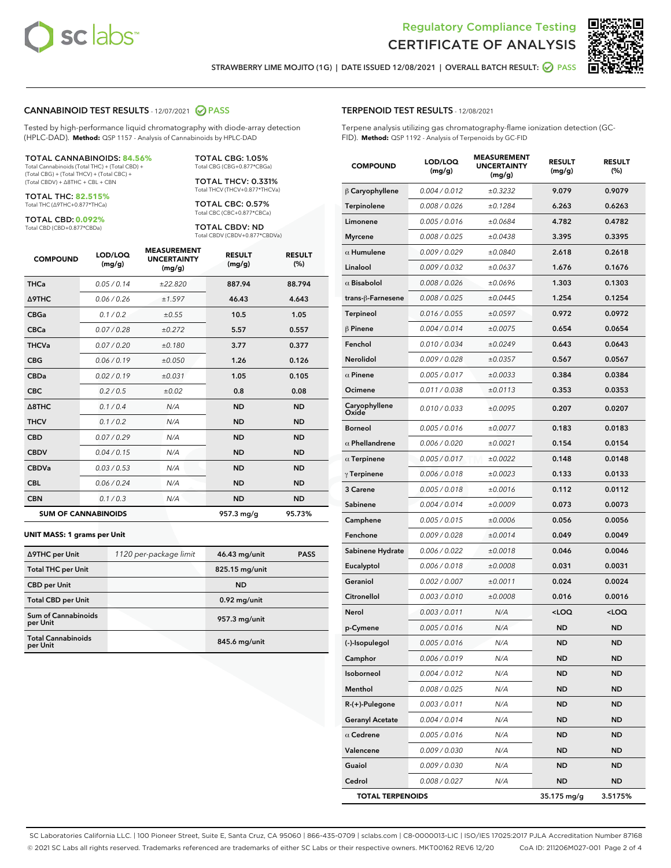



STRAWBERRY LIME MOJITO (1G) | DATE ISSUED 12/08/2021 | OVERALL BATCH RESULT: @ PASS

## CANNABINOID TEST RESULTS - 12/07/2021 2 PASS

Tested by high-performance liquid chromatography with diode-array detection (HPLC-DAD). **Method:** QSP 1157 - Analysis of Cannabinoids by HPLC-DAD

#### TOTAL CANNABINOIDS: **84.56%**

Total Cannabinoids (Total THC) + (Total CBD) + (Total CBG) + (Total THCV) + (Total CBC) + (Total CBDV) + ∆8THC + CBL + CBN

TOTAL THC: **82.515%** Total THC (∆9THC+0.877\*THCa)

TOTAL CBD: **0.092%**

Total CBD (CBD+0.877\*CBDa)

TOTAL CBG: 1.05% Total CBG (CBG+0.877\*CBGa)

TOTAL THCV: 0.331% Total THCV (THCV+0.877\*THCVa)

TOTAL CBC: 0.57% Total CBC (CBC+0.877\*CBCa)

TOTAL CBDV: ND Total CBDV (CBDV+0.877\*CBDVa)

| <b>COMPOUND</b>            | LOD/LOQ<br>(mg/g) | <b>MEASUREMENT</b><br><b>UNCERTAINTY</b><br>(mg/g) | <b>RESULT</b><br>(mg/g) | <b>RESULT</b><br>(%) |
|----------------------------|-------------------|----------------------------------------------------|-------------------------|----------------------|
| <b>THCa</b>                | 0.05/0.14         | ±22.820                                            | 887.94                  | 88.794               |
| <b>A9THC</b>               | 0.06 / 0.26       | ±1.597                                             | 46.43                   | 4.643                |
| <b>CBGa</b>                | 0.1/0.2           | ±0.55                                              | 10.5                    | 1.05                 |
| <b>CBCa</b>                | 0.07 / 0.28       | ±0.272                                             | 5.57                    | 0.557                |
| <b>THCVa</b>               | 0.07/0.20         | ±0.180                                             | 3.77                    | 0.377                |
| <b>CBG</b>                 | 0.06/0.19         | ±0.050                                             | 1.26                    | 0.126                |
| <b>CBDa</b>                | 0.02/0.19         | ±0.031                                             | 1.05                    | 0.105                |
| <b>CBC</b>                 | 0.2 / 0.5         | ±0.02                                              | 0.8                     | 0.08                 |
| A8THC                      | 0.1 / 0.4         | N/A                                                | <b>ND</b>               | <b>ND</b>            |
| <b>THCV</b>                | 0.1 / 0.2         | N/A                                                | <b>ND</b>               | <b>ND</b>            |
| <b>CBD</b>                 | 0.07/0.29         | N/A                                                | <b>ND</b>               | <b>ND</b>            |
| <b>CBDV</b>                | 0.04 / 0.15       | N/A                                                | <b>ND</b>               | <b>ND</b>            |
| <b>CBDVa</b>               | 0.03/0.53         | N/A                                                | <b>ND</b>               | <b>ND</b>            |
| <b>CBL</b>                 | 0.06 / 0.24       | N/A                                                | <b>ND</b>               | <b>ND</b>            |
| <b>CBN</b>                 | 0.1/0.3           | N/A                                                | <b>ND</b>               | <b>ND</b>            |
| <b>SUM OF CANNABINOIDS</b> |                   |                                                    | 957.3 mg/g              | 95.73%               |

#### **UNIT MASS: 1 grams per Unit**

| ∆9THC per Unit                        | 1120 per-package limit | 46.43 mg/unit  | <b>PASS</b> |
|---------------------------------------|------------------------|----------------|-------------|
| <b>Total THC per Unit</b>             |                        | 825.15 mg/unit |             |
| <b>CBD</b> per Unit                   |                        | <b>ND</b>      |             |
| <b>Total CBD per Unit</b>             |                        | $0.92$ mg/unit |             |
| Sum of Cannabinoids<br>per Unit       |                        | 957.3 mg/unit  |             |
| <b>Total Cannabinoids</b><br>per Unit |                        | 845.6 mg/unit  |             |

#### TERPENOID TEST RESULTS - 12/08/2021

Terpene analysis utilizing gas chromatography-flame ionization detection (GC-FID). **Method:** QSP 1192 - Analysis of Terpenoids by GC-FID

| <b>COMPOUND</b>         | LOD/LOQ<br>(mg/g) | <b>MEASUREMENT</b><br><b>UNCERTAINTY</b><br>(mg/g) | <b>RESULT</b><br>(mg/g)                         | <b>RESULT</b><br>(%) |
|-------------------------|-------------------|----------------------------------------------------|-------------------------------------------------|----------------------|
| $\beta$ Caryophyllene   | 0.004 / 0.012     | ±0.3232                                            | 9.079                                           | 0.9079               |
| Terpinolene             | 0.008 / 0.026     | ±0.1284                                            | 6.263                                           | 0.6263               |
| Limonene                | 0.005 / 0.016     | ±0.0684                                            | 4.782                                           | 0.4782               |
| <b>Myrcene</b>          | 0.008 / 0.025     | ±0.0438                                            | 3.395                                           | 0.3395               |
| $\alpha$ Humulene       | 0.009 / 0.029     | ±0.0840                                            | 2.618                                           | 0.2618               |
| Linalool                | 0.009 / 0.032     | ±0.0637                                            | 1.676                                           | 0.1676               |
| $\alpha$ Bisabolol      | 0.008 / 0.026     | ±0.0696                                            | 1.303                                           | 0.1303               |
| trans-ß-Farnesene       | 0.008 / 0.025     | ±0.0445                                            | 1.254                                           | 0.1254               |
| Terpineol               | 0.016 / 0.055     | ±0.0597                                            | 0.972                                           | 0.0972               |
| $\beta$ Pinene          | 0.004 / 0.014     | ±0.0075                                            | 0.654                                           | 0.0654               |
| Fenchol                 | 0.010/0.034       | ±0.0249                                            | 0.643                                           | 0.0643               |
| <b>Nerolidol</b>        | 0.009 / 0.028     | ±0.0357                                            | 0.567                                           | 0.0567               |
| $\alpha$ Pinene         | 0.005 / 0.017     | ±0.0033                                            | 0.384                                           | 0.0384               |
| Ocimene                 | 0.011 / 0.038     | ±0.0113                                            | 0.353                                           | 0.0353               |
| Caryophyllene<br>Oxide  | 0.010 / 0.033     | ±0.0095                                            | 0.207                                           | 0.0207               |
| <b>Borneol</b>          | 0.005 / 0.016     | ±0.0077                                            | 0.183                                           | 0.0183               |
| $\alpha$ Phellandrene   | 0.006 / 0.020     | ±0.0021                                            | 0.154                                           | 0.0154               |
| $\alpha$ Terpinene      | 0.005 / 0.017     | ±0.0022                                            | 0.148                                           | 0.0148               |
| $\gamma$ Terpinene      | 0.006 / 0.018     | ±0.0023                                            | 0.133                                           | 0.0133               |
| 3 Carene                | 0.005 / 0.018     | ±0.0016                                            | 0.112                                           | 0.0112               |
| Sabinene                | 0.004 / 0.014     | ±0.0009                                            | 0.073                                           | 0.0073               |
| Camphene                | 0.005 / 0.015     | ±0.0006                                            | 0.056                                           | 0.0056               |
| Fenchone                | 0.009 / 0.028     | ±0.0014                                            | 0.049                                           | 0.0049               |
| Sabinene Hydrate        | 0.006 / 0.022     | ±0.0018                                            | 0.046                                           | 0.0046               |
| Eucalyptol              | 0.006 / 0.018     | ±0.0008                                            | 0.031                                           | 0.0031               |
| Geraniol                | 0.002 / 0.007     | ±0.0011                                            | 0.024                                           | 0.0024               |
| Citronellol             | 0.003 / 0.010     | ±0.0008                                            | 0.016                                           | 0.0016               |
| Nerol                   | 0.003 / 0.011     | N/A                                                | <loq< th=""><th><loq< th=""></loq<></th></loq<> | <loq< th=""></loq<>  |
| p-Cymene                | 0.005 / 0.016     | N/A                                                | ND                                              | ND                   |
| (-)-Isopulegol          | 0.005 / 0.016     | N/A                                                | <b>ND</b>                                       | <b>ND</b>            |
| Camphor                 | 0.006 / 0.019     | N/A                                                | ND                                              | ND                   |
| Isoborneol              | 0.004 / 0.012     | N/A                                                | ND                                              | ND                   |
| Menthol                 | 0.008 / 0.025     | N/A                                                | <b>ND</b>                                       | ND                   |
| R-(+)-Pulegone          | 0.003 / 0.011     | N/A                                                | <b>ND</b>                                       | ND                   |
| <b>Geranyl Acetate</b>  | 0.004 / 0.014     | N/A                                                | ND                                              | ND                   |
| $\alpha$ Cedrene        | 0.005 / 0.016     | N/A                                                | <b>ND</b>                                       | ND                   |
| Valencene               | 0.009 / 0.030     | N/A                                                | <b>ND</b>                                       | ND                   |
| Guaiol                  | 0.009 / 0.030     | N/A                                                | ND                                              | ND                   |
| Cedrol                  | 0.008 / 0.027     | N/A                                                | <b>ND</b>                                       | ND                   |
| <b>TOTAL TERPENOIDS</b> |                   |                                                    | 35.175 mg/g                                     | 3.5175%              |

SC Laboratories California LLC. | 100 Pioneer Street, Suite E, Santa Cruz, CA 95060 | 866-435-0709 | sclabs.com | C8-0000013-LIC | ISO/IES 17025:2017 PJLA Accreditation Number 87168 © 2021 SC Labs all rights reserved. Trademarks referenced are trademarks of either SC Labs or their respective owners. MKT00162 REV6 12/20 CoA ID: 211206M027-001 Page 2 of 4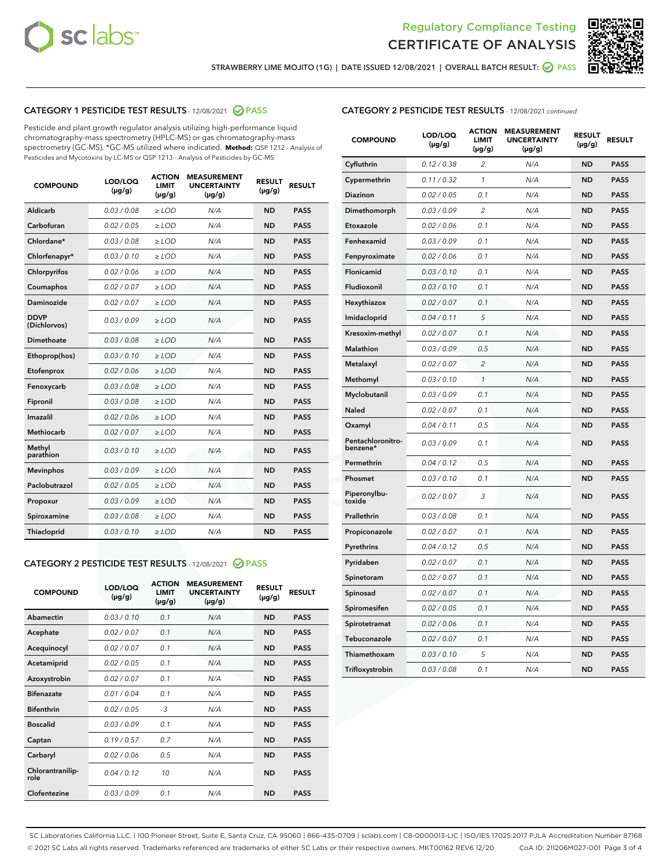



STRAWBERRY LIME MOJITO (1G) | DATE ISSUED 12/08/2021 | OVERALL BATCH RESULT: @ PASS

# CATEGORY 1 PESTICIDE TEST RESULTS - 12/08/2021 2 PASS

Pesticide and plant growth regulator analysis utilizing high-performance liquid chromatography-mass spectrometry (HPLC-MS) or gas chromatography-mass spectrometry (GC-MS). \*GC-MS utilized where indicated. **Method:** QSP 1212 - Analysis of Pesticides and Mycotoxins by LC-MS or QSP 1213 - Analysis of Pesticides by GC-MS

| <b>COMPOUND</b>             | LOD/LOQ<br>$(\mu g/g)$ | <b>ACTION</b><br><b>LIMIT</b><br>$(\mu g/g)$ | <b>MEASUREMENT</b><br><b>UNCERTAINTY</b><br>$(\mu g/g)$ | <b>RESULT</b><br>$(\mu g/g)$ | <b>RESULT</b> |
|-----------------------------|------------------------|----------------------------------------------|---------------------------------------------------------|------------------------------|---------------|
| Aldicarb                    | 0.03 / 0.08            | $\geq$ LOD                                   | N/A                                                     | <b>ND</b>                    | <b>PASS</b>   |
| Carbofuran                  | 0.02 / 0.05            | $>$ LOD                                      | N/A                                                     | <b>ND</b>                    | <b>PASS</b>   |
| Chlordane*                  | 0.03 / 0.08            | $\ge$ LOD                                    | N/A                                                     | <b>ND</b>                    | <b>PASS</b>   |
| Chlorfenapyr*               | 0.03/0.10              | $>$ LOD                                      | N/A                                                     | <b>ND</b>                    | <b>PASS</b>   |
| Chlorpyrifos                | 0.02 / 0.06            | ≥ LOD                                        | N/A                                                     | <b>ND</b>                    | <b>PASS</b>   |
| Coumaphos                   | 0.02 / 0.07            | $\ge$ LOD                                    | N/A                                                     | <b>ND</b>                    | <b>PASS</b>   |
| Daminozide                  | 0.02 / 0.07            | $\geq$ LOD                                   | N/A                                                     | <b>ND</b>                    | <b>PASS</b>   |
| <b>DDVP</b><br>(Dichlorvos) | 0.03/0.09              | $\geq$ LOD                                   | N/A                                                     | <b>ND</b>                    | <b>PASS</b>   |
| Dimethoate                  | 0.03 / 0.08            | $>$ LOD                                      | N/A                                                     | <b>ND</b>                    | <b>PASS</b>   |
| Ethoprop(hos)               | 0.03/0.10              | $\ge$ LOD                                    | N/A                                                     | <b>ND</b>                    | <b>PASS</b>   |
| Etofenprox                  | 0.02 / 0.06            | $>$ LOD                                      | N/A                                                     | <b>ND</b>                    | <b>PASS</b>   |
| Fenoxycarb                  | 0.03 / 0.08            | $\geq$ LOD                                   | N/A                                                     | <b>ND</b>                    | <b>PASS</b>   |
| Fipronil                    | 0.03/0.08              | $>$ LOD                                      | N/A                                                     | <b>ND</b>                    | <b>PASS</b>   |
| Imazalil                    | 0.02 / 0.06            | $\geq$ LOD                                   | N/A                                                     | <b>ND</b>                    | <b>PASS</b>   |
| <b>Methiocarb</b>           | 0.02 / 0.07            | $\ge$ LOD                                    | N/A                                                     | <b>ND</b>                    | <b>PASS</b>   |
| Methyl<br>parathion         | 0.03/0.10              | $\geq$ LOD                                   | N/A                                                     | <b>ND</b>                    | <b>PASS</b>   |
| <b>Mevinphos</b>            | 0.03/0.09              | $>$ LOD                                      | N/A                                                     | <b>ND</b>                    | <b>PASS</b>   |
| Paclobutrazol               | 0.02 / 0.05            | $\geq$ LOD                                   | N/A                                                     | <b>ND</b>                    | <b>PASS</b>   |
| Propoxur                    | 0.03/0.09              | $\ge$ LOD                                    | N/A                                                     | <b>ND</b>                    | <b>PASS</b>   |
| Spiroxamine                 | 0.03 / 0.08            | $\ge$ LOD                                    | N/A                                                     | <b>ND</b>                    | <b>PASS</b>   |
| Thiacloprid                 | 0.03/0.10              | $\geq$ LOD                                   | N/A                                                     | <b>ND</b>                    | <b>PASS</b>   |

#### CATEGORY 2 PESTICIDE TEST RESULTS - 12/08/2021 @ PASS

| <b>COMPOUND</b>          | LOD/LOO<br>$(\mu g/g)$ | <b>ACTION</b><br>LIMIT<br>$(\mu g/g)$ | <b>MEASUREMENT</b><br><b>UNCERTAINTY</b><br>$(\mu g/g)$ | <b>RESULT</b><br>$(\mu g/g)$ | <b>RESULT</b> |
|--------------------------|------------------------|---------------------------------------|---------------------------------------------------------|------------------------------|---------------|
| Abamectin                | 0.03/0.10              | 0.1                                   | N/A                                                     | <b>ND</b>                    | <b>PASS</b>   |
| Acephate                 | 0.02/0.07              | 0.1                                   | N/A                                                     | <b>ND</b>                    | <b>PASS</b>   |
| Acequinocyl              | 0.02/0.07              | 0.1                                   | N/A                                                     | <b>ND</b>                    | <b>PASS</b>   |
| Acetamiprid              | 0.02/0.05              | 0.1                                   | N/A                                                     | <b>ND</b>                    | <b>PASS</b>   |
| Azoxystrobin             | 0.02/0.07              | 0.1                                   | N/A                                                     | <b>ND</b>                    | <b>PASS</b>   |
| <b>Bifenazate</b>        | 0.01 / 0.04            | 0.1                                   | N/A                                                     | <b>ND</b>                    | <b>PASS</b>   |
| <b>Bifenthrin</b>        | 0.02 / 0.05            | 3                                     | N/A                                                     | <b>ND</b>                    | <b>PASS</b>   |
| <b>Boscalid</b>          | 0.03/0.09              | 0.1                                   | N/A                                                     | <b>ND</b>                    | <b>PASS</b>   |
| Captan                   | 0.19/0.57              | 0.7                                   | N/A                                                     | <b>ND</b>                    | <b>PASS</b>   |
| Carbaryl                 | 0.02/0.06              | 0.5                                   | N/A                                                     | <b>ND</b>                    | <b>PASS</b>   |
| Chlorantranilip-<br>role | 0.04/0.12              | 10                                    | N/A                                                     | <b>ND</b>                    | <b>PASS</b>   |
| Clofentezine             | 0.03/0.09              | 0.1                                   | N/A                                                     | <b>ND</b>                    | <b>PASS</b>   |

| <b>CATEGORY 2 PESTICIDE TEST RESULTS</b> - 12/08/2021 continued |  |
|-----------------------------------------------------------------|--|
|                                                                 |  |

| <b>COMPOUND</b>               | LOD/LOQ<br>$(\mu g/g)$ | <b>ACTION</b><br>LIMIT<br>(µg/g) | <b>MEASUREMENT</b><br><b>UNCERTAINTY</b><br>(µg/g) | <b>RESULT</b><br>$(\mu g/g)$ | <b>RESULT</b> |
|-------------------------------|------------------------|----------------------------------|----------------------------------------------------|------------------------------|---------------|
| Cyfluthrin                    | 0.12 / 0.38            | $\overline{c}$                   | N/A                                                | ND                           | <b>PASS</b>   |
| Cypermethrin                  | 0.11 / 0.32            | 1                                | N/A                                                | <b>ND</b>                    | <b>PASS</b>   |
| Diazinon                      | 0.02 / 0.05            | 0.1                              | N/A                                                | <b>ND</b>                    | <b>PASS</b>   |
| Dimethomorph                  | 0.03 / 0.09            | 2                                | N/A                                                | <b>ND</b>                    | <b>PASS</b>   |
| Etoxazole                     | 0.02 / 0.06            | 0.1                              | N/A                                                | <b>ND</b>                    | <b>PASS</b>   |
| Fenhexamid                    | 0.03 / 0.09            | 0.1                              | N/A                                                | <b>ND</b>                    | <b>PASS</b>   |
| Fenpyroximate                 | 0.02 / 0.06            | 0.1                              | N/A                                                | <b>ND</b>                    | <b>PASS</b>   |
| Flonicamid                    | 0.03 / 0.10            | 0.1                              | N/A                                                | <b>ND</b>                    | <b>PASS</b>   |
| Fludioxonil                   | 0.03/0.10              | 0.1                              | N/A                                                | <b>ND</b>                    | <b>PASS</b>   |
| Hexythiazox                   | 0.02 / 0.07            | 0.1                              | N/A                                                | <b>ND</b>                    | <b>PASS</b>   |
| Imidacloprid                  | 0.04 / 0.11            | 5                                | N/A                                                | <b>ND</b>                    | <b>PASS</b>   |
| Kresoxim-methyl               | 0.02 / 0.07            | 0.1                              | N/A                                                | <b>ND</b>                    | <b>PASS</b>   |
| <b>Malathion</b>              | 0.03 / 0.09            | 0.5                              | N/A                                                | <b>ND</b>                    | <b>PASS</b>   |
| Metalaxyl                     | 0.02 / 0.07            | $\overline{c}$                   | N/A                                                | <b>ND</b>                    | <b>PASS</b>   |
| Methomyl                      | 0.03 / 0.10            | $\mathcal{I}$                    | N/A                                                | <b>ND</b>                    | <b>PASS</b>   |
| Myclobutanil                  | 0.03 / 0.09            | 0.1                              | N/A                                                | <b>ND</b>                    | <b>PASS</b>   |
| Naled                         | 0.02 / 0.07            | 0.1                              | N/A                                                | <b>ND</b>                    | <b>PASS</b>   |
| Oxamyl                        | 0.04 / 0.11            | 0.5                              | N/A                                                | <b>ND</b>                    | <b>PASS</b>   |
| Pentachloronitro-<br>benzene* | 0.03/0.09              | 0.1                              | N/A                                                | <b>ND</b>                    | <b>PASS</b>   |
| Permethrin                    | 0.04 / 0.12            | 0.5                              | N/A                                                | <b>ND</b>                    | <b>PASS</b>   |
| Phosmet                       | 0.03 / 0.10            | 0.1                              | N/A                                                | <b>ND</b>                    | <b>PASS</b>   |
| Piperonylbu-<br>toxide        | 0.02 / 0.07            | 3                                | N/A                                                | <b>ND</b>                    | <b>PASS</b>   |
| Prallethrin                   | 0.03 / 0.08            | 0.1                              | N/A                                                | <b>ND</b>                    | <b>PASS</b>   |
| Propiconazole                 | 0.02 / 0.07            | 0.1                              | N/A                                                | <b>ND</b>                    | <b>PASS</b>   |
| Pyrethrins                    | 0.04 / 0.12            | 0.5                              | N/A                                                | <b>ND</b>                    | <b>PASS</b>   |
| Pyridaben                     | 0.02 / 0.07            | 0.1                              | N/A                                                | <b>ND</b>                    | <b>PASS</b>   |
| Spinetoram                    | 0.02 / 0.07            | 0.1                              | N/A                                                | ND                           | <b>PASS</b>   |
| Spinosad                      | 0.02 / 0.07            | 0.1                              | N/A                                                | <b>ND</b>                    | <b>PASS</b>   |
| Spiromesifen                  | 0.02 / 0.05            | 0.1                              | N/A                                                | <b>ND</b>                    | <b>PASS</b>   |
| Spirotetramat                 | 0.02 / 0.06            | 0.1                              | N/A                                                | <b>ND</b>                    | <b>PASS</b>   |
| Tebuconazole                  | 0.02 / 0.07            | 0.1                              | N/A                                                | ND                           | <b>PASS</b>   |
| Thiamethoxam                  | 0.03 / 0.10            | 5                                | N/A                                                | <b>ND</b>                    | <b>PASS</b>   |
| Trifloxystrobin               | 0.03 / 0.08            | 0.1                              | N/A                                                | <b>ND</b>                    | <b>PASS</b>   |

SC Laboratories California LLC. | 100 Pioneer Street, Suite E, Santa Cruz, CA 95060 | 866-435-0709 | sclabs.com | C8-0000013-LIC | ISO/IES 17025:2017 PJLA Accreditation Number 87168 © 2021 SC Labs all rights reserved. Trademarks referenced are trademarks of either SC Labs or their respective owners. MKT00162 REV6 12/20 CoA ID: 211206M027-001 Page 3 of 4